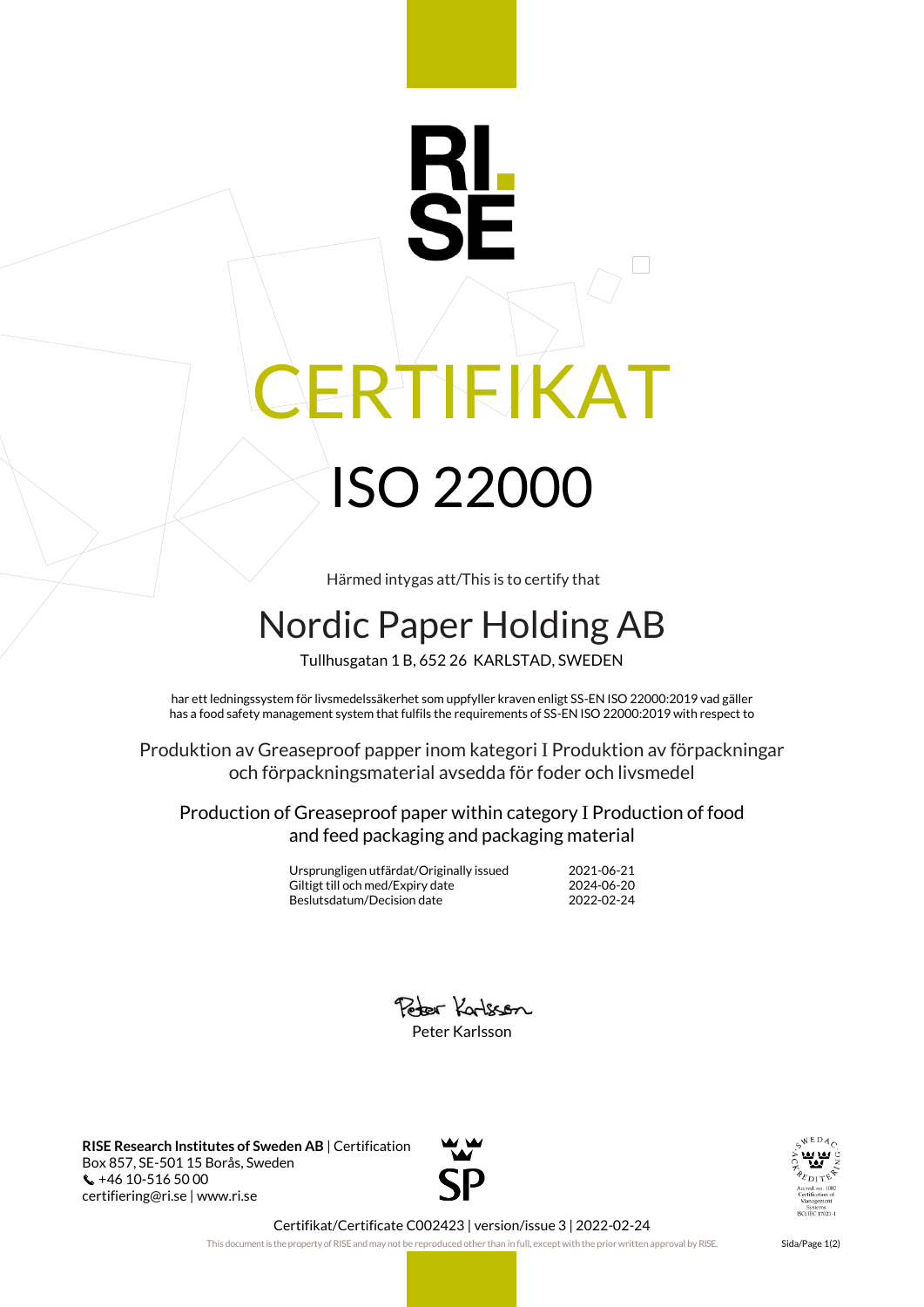## RTEKAT ISO 22000

Härmed intygas att/This is to certify that

## Nordic Paper Holding AB

Tullhusgatan 1 B, 652 26 KARLSTAD, SWEDEN

har ett ledningssystem för livsmedelssäkerhet som uppfyller kraven enligt SS-EN ISO 22000:2019 vad gäller has a food safety management system that fulfils the requirements of SS-EN ISO 22000:2019 with respect to

Produktion av Greaseproof papper inom kategori I Produktion av förpackningar och förpackningsmaterial avsedda för foder och livsmedel

Production of Greaseproof paper within category I Production of food and feed packaging and packaging material

> Ursprungligen utfärdat/Originally issued 2021-06-21 Giltigt till och med/Expiry date 2024-06-20<br>Beslutsdatum/Decision date 2022-02-24 Beslutsdatum/Decision date



**RISE Research Institutes of Sweden AB** | Certification Box 857, SE-501 15 Borås, Sweden +46 10-516 50 00 certifiering@ri.se | www.ri.se





Certifikat/Certificate C002423 | version/issue 3 | 2022-02-24

This document is the property of RISE and may not be reproduced other than in full, except with the prior written approval by RISE. Sida/Page 1(2)